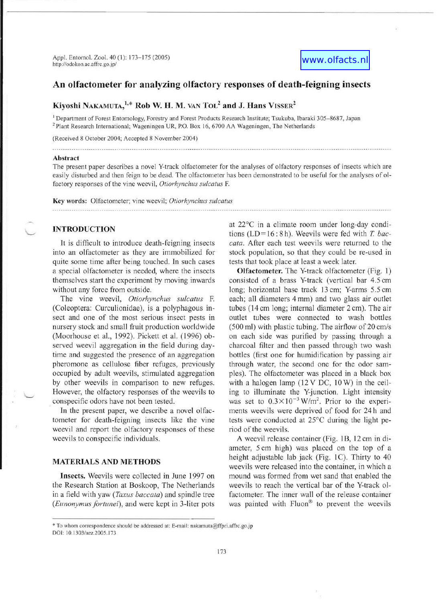

# An olfactometer for analyzing olfactory responses of death-feigning insects

# Kiyoshi NAKAMUTA,  $1,*$  Rob W. H. M. van Tol<sup>2</sup> and J. Hans VISSER<sup>2</sup>

<sup>1</sup> Department of Forest Entomology, Forestry and Forest Products Research Institute; Tsukuba, Ibaraki 305–8687, Japan <sup>2</sup> Plant Research International; Wageningen UR, P.O. Box 16, 6700 AA Wageningen, The Netherlands

(Received 8 October 2004; Accepted 8 November 2004)

#### Abstract

The present paper describes a novel Y-track olfactometer for the analyses of olfactory responses of insects which are easily disturbed and then feign to be dead. The olfactometer has been demonstrated to be useful for the analyses of ol factory responses of the vine weevil, *Otiorhynchus sulcatus* F.

Key words: Olfactometer; vine weevil; *Otiorhynchus sulcatus* 

## INTRODUCTION

It is difficult to introduce death-feigning insects into an olfactometer as they are immobilized for quite some time after being touched. In such cases a special olfactometer is needed, where the insects themselves start the experiment by moving inwards without any force from outside.

The vine weevil, *Otiorhynchus sulcatus* F. (Coleoptera: Curculionidae), is a polyphagous insect and one of the most serious insect pests in nursery stock and small fruit production worldwide (Moorhouse et al., 1992). Pickett et al. (1996) observed weevil aggregation in the field during daytime and suggested the presence of an aggregation pheromone as cellulose fiber refuges, previously occupied by adult weevils, stimulated aggregation by other weevils in comparison to new refuges. However, the olfactory responses of the weevils to . conspecific odors have not been tested.

In the present paper, we describe a novel olfactometer for death-feigning insects like the vine weevil and report the olfactory responses of these weevils to conspecific individuals.

#### MATERIALS AND METHODS

Insects. Weevils were collected in June 1997 on the Research Station at Boskoop, The Netherlands in a field with yaw *(Taxus baccata)* and spindle tree *(Eunonymus fortunei),* and were kept in 3-liter pots

at 22°C in a climate room under long-day conditions (LD= 16: 8 h). Weevils were fed with *T baccata.* After each test weevils were returned to the stock population, so that they could be re-used in tests that took place at least a week later.

Olfactometer. The Y-track olfactometer (Fig. 1) consisted of a brass Y-track (vertical bar 4.5 cm long; horizontal base track 13 cm; Y-arms 5.5 cm each; all diameters 4 mm) and two glass air outlet tubes (14 cm long; internal diameter 2 cm). The air outlet tubes were connected to wash bottles  $(500 \text{ ml})$  with plastic tubing. The airflow of 20 cm/s on each side was purified by passing through a charcoal filter and then passed through two wash bottles (first one for humidification by passing air through water, the second one for the odor samples). The olfactometer was placed in a black box with a halogen lamp  $(12 \text{ V DC}, 10 \text{ W})$  in the ceiling to illuminate the Y-junction. Light intensity was set to  $0.3 \times 10^{-3}$  W/m<sup>2</sup>. Prior to the experiments weevils were deprived of food for 24 h and tests were conducted at 25°C during the light period of the weevils.

A weevil release container (Fig. 1B, 12 cm in diameter, 5 cm high) was placed on the top of a height adjustable lab jack (Fig. 1C). Thirty to  $40$ weevils were released into the container, in which a mound was formed from wet sand that enabled the weevils to reach the vertical bar of the Y-track olfactometer. The inner wall of the release container was painted with Fluon<sup>®</sup> to prevent the weevils

<sup>\*</sup> To whom correspondence should be addressed at: E-mail: nakamuta@ffpri.affrc.go.jp DOl: lO.1303/aez.200S.173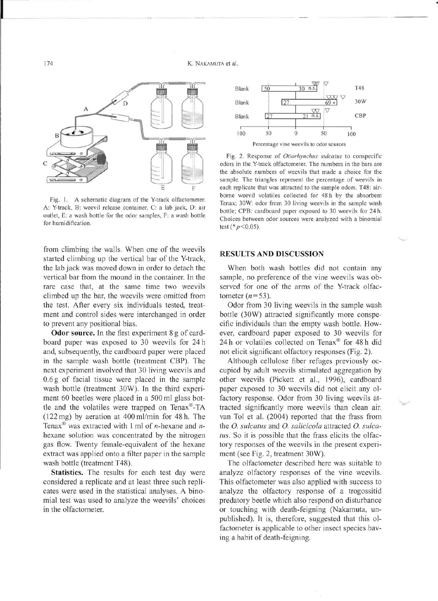

Fig. 1. A schematic diagram of the Y-track olfactometer. A: Y-track, B: weevil release container, C: a lab jack, D: air outlet, E: a wash bottle for the odor samples, F: a wash bottle for humidification.

from climbing the walls. When one of the weevils started climbing up the vertical bar of the V-track, the lab jack was moved down in order to detach the vertical bar from the mound in the container. In the rare case that, at the same time two weevils climbed up the bar, the weevils were omitted from the test. After every six individuals tested, treatment and control sides were interchanged in order to prevent any positional bias.

**Odor source.** In the first experiment 8 g of cardboard paper was exposed to 30 weevils for 24 h and, subsequently, the cardboard paper were placed in the sample wash bottle (treatment CBP). The next experiment involved that 30 living weevils and 0.6 g of facial tissue were placed in the sample wash bottle (treatment 30W). In the third experiment 60 beetles were placed in a 500 ml glass bottle and the volatiles were trapped on Tenax®-TA  $(122 \text{ mg})$  by aeration at  $400 \text{ ml/min}$  for  $48 \text{ h}$ . The Tenax® was extracted with 1 ml of *n-hexane* and *n*hexane solution was concentrated by the nitrogen gas flow. Twenty female-equivalent of the hexane extract was applied onto a filter paper in the sample wash bottle (treatment T48).

**Statistics.** The results for each test day were considered a replicate and at least three such replicates were used in the statistical analyses. A binomial test was used to analyze the weevils' choices in the olfactometer.



Fig. 2. Response of *Otiorhynchus sulcatus* to conspecific odors in the Y-track olfactometer. The numbers in the bars are the absolute numbers of weevils that made a choice for the sample. The triangles represent the percentage of weevils in each replicate that was attracted to the sample odors. T48: airborne weevil volatiles collected for 48 h by the absorbent Tenax; 30W: odor from 30 living weevils in the sample wash bottle; CPB: cardboard paper exposed to 30 weevils for 24 h. Choices between odor sources were analyzed with a binomial test (\* *p <0.05).* 

### **RESULTS AND DISCUSSION**

When both wash bottles did not contain any sample, no preference of the vine weevils was observed for one of the arms of the V-track olfactometer  $(n=53)$ .

Odor from 30 living weevils in the sample wash bottle (30W) attracted significantly more conspecific individuals than the empty wash bottle. However, cardboard paper exposed to 30 weevils for 24 h or volatiles collected on Tenax® for 48 h did not elicit significant olfactory responses (Fig. 2).

Although cellulose fiber refuges previously occupied by adult weevils stimulated aggregation by other weevils (Pickett et al., 1996), cardboard paper exposed to 30 weevils did not elicit any olfactory response. Odor from 30 living weevils attracted significantly more weevils than clean air. van Tol et al. (2004) reported that the frass from the 0. *sulcatus* and O. *salicicola* attracted O. *sulcatus.* So it is possible that the frass elicits the olfactory responses of the weevils in the present experiment (see Fig. 2, treatment 30W).

The olfactometer described here was suitable to analyze olfactory responses of the vine weevils. This olfactometer was also applied with success to analyze the olfactory response of a trogossitid predatory beetle which also respond on disturbance or touching with death-feigning (Nakamuta, unpublished). It is, therefore, suggested that this olfactometer is applicable to other insect species having a habit of death-feigning.